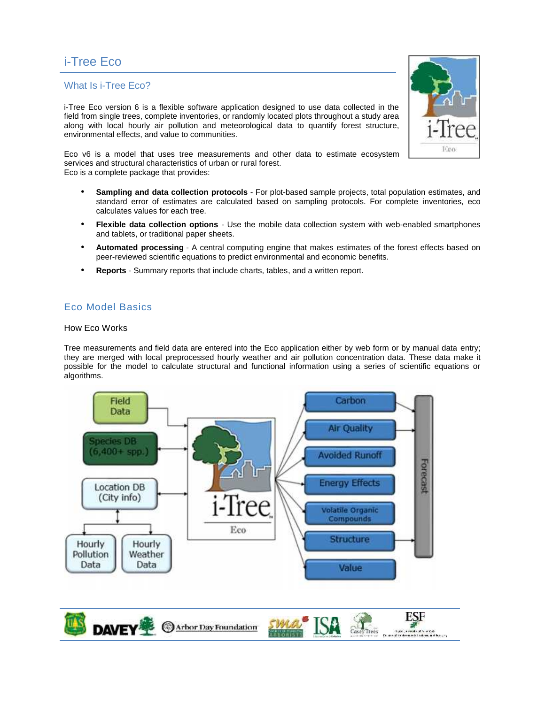# i-Tree Eco

## What Is i-Tree Eco?

i-Tree Eco version 6 is a flexible software application designed to use data collected in the field from single trees, complete inventories, or randomly located plots throughout a study area along with local hourly air pollution and meteorological data to quantify forest structure, environmental effects, and value to communities.

Eco v6 is a model that uses tree measurements and other data to estimate ecosystem services and structural characteristics of urban or rural forest. Eco is a complete package that provides:

- **Sampling and data collection protocols** For plot-based sample projects, total population estimates, and standard error of estimates are calculated based on sampling protocols. For complete inventories, eco calculates values for each tree.
- **Flexible data collection options** Use the mobile data collection system with web-enabled smartphones and tablets, or traditional paper sheets.
- **Automated processing** A central computing engine that makes estimates of the forest effects based on peer-reviewed scientific equations to predict environmental and economic benefits.
- **Reports** Summary reports that include charts, tables, and a written report.

# Eco Model Basics

#### How Eco Works

Tree measurements and field data are entered into the Eco application either by web form or by manual data entry; they are merged with local preprocessed hourly weather and air pollution concentration data. These data make it possible for the model to calculate structural and functional information using a series of scientific equations or algorithms.